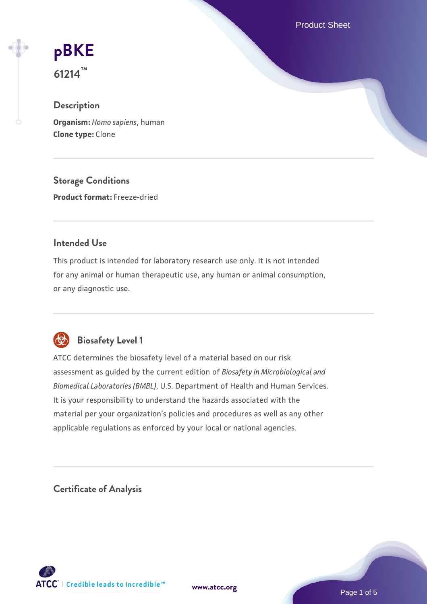Product Sheet

# **[pBKE](https://www.atcc.org/products/61214)**

**61214™**

# **Description**

**Organism:** *Homo sapiens*, human **Clone type:** Clone

**Storage Conditions Product format:** Freeze-dried

# **Intended Use**

This product is intended for laboratory research use only. It is not intended for any animal or human therapeutic use, any human or animal consumption, or any diagnostic use.



# **Biosafety Level 1**

ATCC determines the biosafety level of a material based on our risk assessment as guided by the current edition of *Biosafety in Microbiological and Biomedical Laboratories (BMBL)*, U.S. Department of Health and Human Services. It is your responsibility to understand the hazards associated with the material per your organization's policies and procedures as well as any other applicable regulations as enforced by your local or national agencies.

**Certificate of Analysis**

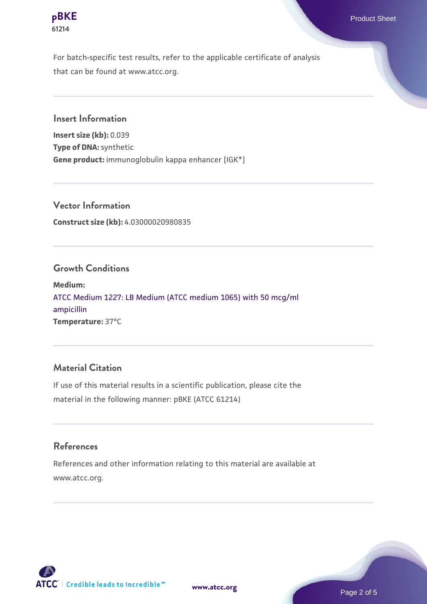

For batch-specific test results, refer to the applicable certificate of analysis that can be found at www.atcc.org.

**Insert Information**

**Insert size (kb):** 0.039 **Type of DNA:** synthetic **Gene product:** immunoglobulin kappa enhancer [IGK\*]

**Vector Information Construct size (kb):** 4.03000020980835

#### **Growth Conditions**

**Medium:**  [ATCC Medium 1227: LB Medium \(ATCC medium 1065\) with 50 mcg/ml](https://www.atcc.org/-/media/product-assets/documents/microbial-media-formulations/1/2/2/7/atcc-medium-1227.pdf?rev=581c98603b3e4b29a6d62ee0ba9ca578) [ampicillin](https://www.atcc.org/-/media/product-assets/documents/microbial-media-formulations/1/2/2/7/atcc-medium-1227.pdf?rev=581c98603b3e4b29a6d62ee0ba9ca578) **Temperature:** 37°C

# **Material Citation**

If use of this material results in a scientific publication, please cite the material in the following manner: pBKE (ATCC 61214)

## **References**

References and other information relating to this material are available at www.atcc.org.

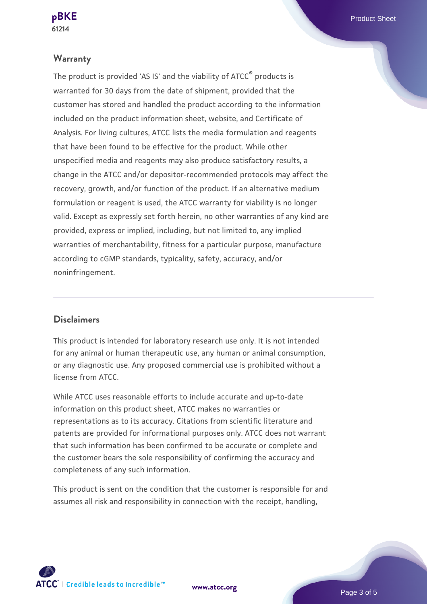#### **Warranty**

The product is provided 'AS IS' and the viability of ATCC® products is warranted for 30 days from the date of shipment, provided that the customer has stored and handled the product according to the information included on the product information sheet, website, and Certificate of Analysis. For living cultures, ATCC lists the media formulation and reagents that have been found to be effective for the product. While other unspecified media and reagents may also produce satisfactory results, a change in the ATCC and/or depositor-recommended protocols may affect the recovery, growth, and/or function of the product. If an alternative medium formulation or reagent is used, the ATCC warranty for viability is no longer valid. Except as expressly set forth herein, no other warranties of any kind are provided, express or implied, including, but not limited to, any implied warranties of merchantability, fitness for a particular purpose, manufacture according to cGMP standards, typicality, safety, accuracy, and/or noninfringement.

#### **Disclaimers**

This product is intended for laboratory research use only. It is not intended for any animal or human therapeutic use, any human or animal consumption, or any diagnostic use. Any proposed commercial use is prohibited without a license from ATCC.

While ATCC uses reasonable efforts to include accurate and up-to-date information on this product sheet, ATCC makes no warranties or representations as to its accuracy. Citations from scientific literature and patents are provided for informational purposes only. ATCC does not warrant that such information has been confirmed to be accurate or complete and the customer bears the sole responsibility of confirming the accuracy and completeness of any such information.

This product is sent on the condition that the customer is responsible for and assumes all risk and responsibility in connection with the receipt, handling,

**[www.atcc.org](http://www.atcc.org)**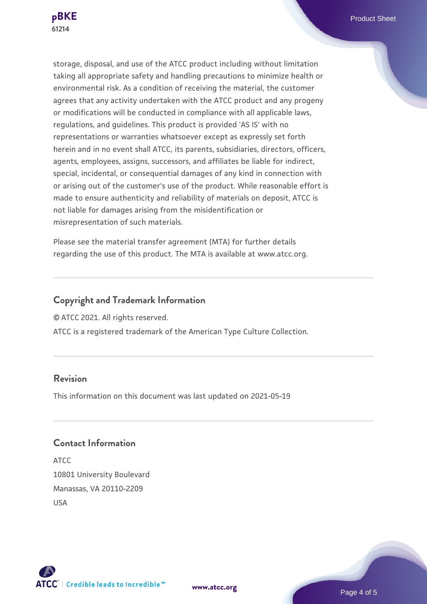

storage, disposal, and use of the ATCC product including without limitation taking all appropriate safety and handling precautions to minimize health or environmental risk. As a condition of receiving the material, the customer agrees that any activity undertaken with the ATCC product and any progeny or modifications will be conducted in compliance with all applicable laws, regulations, and guidelines. This product is provided 'AS IS' with no representations or warranties whatsoever except as expressly set forth herein and in no event shall ATCC, its parents, subsidiaries, directors, officers, agents, employees, assigns, successors, and affiliates be liable for indirect, special, incidental, or consequential damages of any kind in connection with or arising out of the customer's use of the product. While reasonable effort is made to ensure authenticity and reliability of materials on deposit, ATCC is not liable for damages arising from the misidentification or misrepresentation of such materials.

Please see the material transfer agreement (MTA) for further details regarding the use of this product. The MTA is available at www.atcc.org.

#### **Copyright and Trademark Information**

© ATCC 2021. All rights reserved.

ATCC is a registered trademark of the American Type Culture Collection.

## **Revision**

This information on this document was last updated on 2021-05-19

## **Contact Information**

ATCC 10801 University Boulevard Manassas, VA 20110-2209 USA





**[www.atcc.org](http://www.atcc.org)**